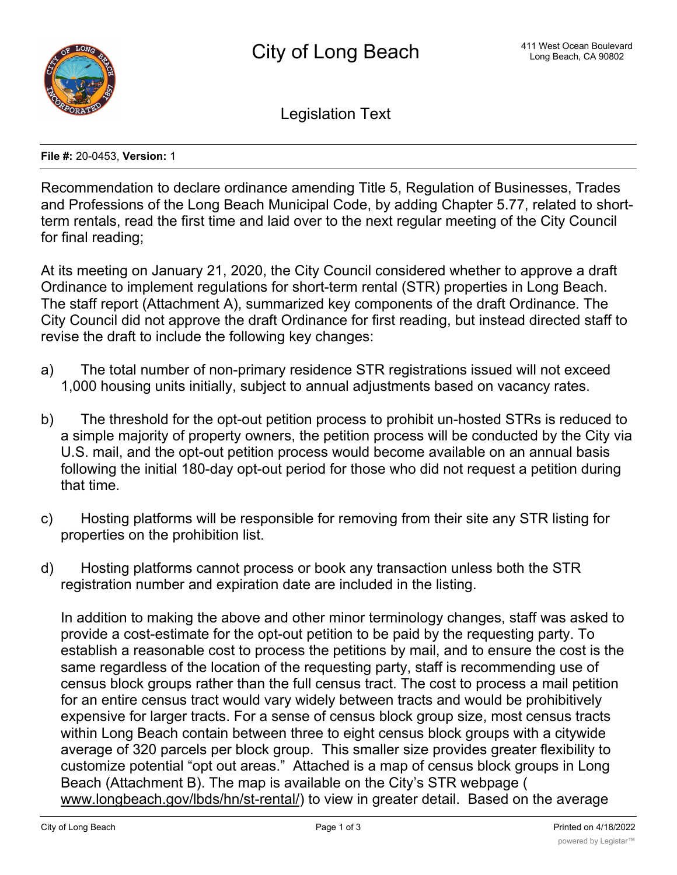

Legislation Text

**File #:** 20-0453, **Version:** 1

Recommendation to declare ordinance amending Title 5, Regulation of Businesses, Trades and Professions of the Long Beach Municipal Code, by adding Chapter 5.77, related to shortterm rentals, read the first time and laid over to the next regular meeting of the City Council for final reading;

At its meeting on January 21, 2020, the City Council considered whether to approve a draft Ordinance to implement regulations for short-term rental (STR) properties in Long Beach. The staff report (Attachment A), summarized key components of the draft Ordinance. The City Council did not approve the draft Ordinance for first reading, but instead directed staff to revise the draft to include the following key changes:

- a) The total number of non-primary residence STR registrations issued will not exceed 1,000 housing units initially, subject to annual adjustments based on vacancy rates.
- b) The threshold for the opt-out petition process to prohibit un-hosted STRs is reduced to a simple majority of property owners, the petition process will be conducted by the City via U.S. mail, and the opt-out petition process would become available on an annual basis following the initial 180-day opt-out period for those who did not request a petition during that time.
- c) Hosting platforms will be responsible for removing from their site any STR listing for properties on the prohibition list.
- d) Hosting platforms cannot process or book any transaction unless both the STR registration number and expiration date are included in the listing.

In addition to making the above and other minor terminology changes, staff was asked to provide a cost-estimate for the opt-out petition to be paid by the requesting party. To establish a reasonable cost to process the petitions by mail, and to ensure the cost is the same regardless of the location of the requesting party, staff is recommending use of census block groups rather than the full census tract. The cost to process a mail petition for an entire census tract would vary widely between tracts and would be prohibitively expensive for larger tracts. For a sense of census block group size, most census tracts within Long Beach contain between three to eight census block groups with a citywide average of 320 parcels per block group. This smaller size provides greater flexibility to customize potential "opt out areas." Attached is a map of census block groups in Long Beach (Attachment B). The map is available on the City's STR webpage ( www.longbeach.gov/lbds/hn/st-rental/) to view in greater detail. Based on the average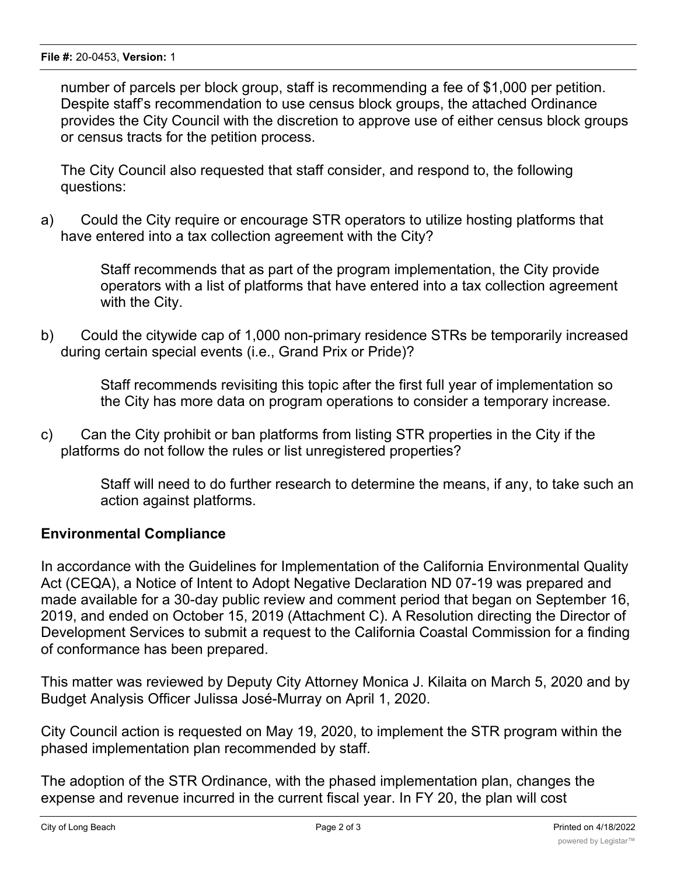number of parcels per block group, staff is recommending a fee of \$1,000 per petition. Despite staff's recommendation to use census block groups, the attached Ordinance provides the City Council with the discretion to approve use of either census block groups or census tracts for the petition process.

The City Council also requested that staff consider, and respond to, the following questions:

a) Could the City require or encourage STR operators to utilize hosting platforms that have entered into a tax collection agreement with the City?

> Staff recommends that as part of the program implementation, the City provide operators with a list of platforms that have entered into a tax collection agreement with the City.

b) Could the citywide cap of 1,000 non-primary residence STRs be temporarily increased during certain special events (i.e., Grand Prix or Pride)?

> Staff recommends revisiting this topic after the first full year of implementation so the City has more data on program operations to consider a temporary increase.

c) Can the City prohibit or ban platforms from listing STR properties in the City if the platforms do not follow the rules or list unregistered properties?

> Staff will need to do further research to determine the means, if any, to take such an action against platforms.

## **Environmental Compliance**

In accordance with the Guidelines for Implementation of the California Environmental Quality Act (CEQA), a Notice of Intent to Adopt Negative Declaration ND 07-19 was prepared and made available for a 30-day public review and comment period that began on September 16, 2019, and ended on October 15, 2019 (Attachment C). A Resolution directing the Director of Development Services to submit a request to the California Coastal Commission for a finding of conformance has been prepared.

This matter was reviewed by Deputy City Attorney Monica J. Kilaita on March 5, 2020 and by Budget Analysis Officer Julissa José-Murray on April 1, 2020.

City Council action is requested on May 19, 2020, to implement the STR program within the phased implementation plan recommended by staff.

The adoption of the STR Ordinance, with the phased implementation plan, changes the expense and revenue incurred in the current fiscal year. In FY 20, the plan will cost